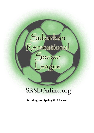# Suburban<br>Recreational Soccer<br>League

### SRSLOnline.org

**Standings for Spring 2022 Season**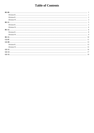### **Table of Contents**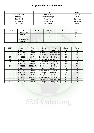### **Boys Under 09 - Division B**

| City                 | Name            | Color     |
|----------------------|-----------------|-----------|
| <b>Broadview Hts</b> | Ryan Carlo      | Orange    |
| Brooklyn 1           | Melissa Rodrigo | White     |
| Brooklyn 2           | Jenna Melia     | Navy Blue |
| <b>Brooklyn Hts</b>  | Nathan Podell   | NavyGold  |
| <b>Valley View</b>   | Skip Wilson     | Royal     |

| Rank | City                 | <b>Wins</b> | Losses | <b>Ties</b> | Points |
|------|----------------------|-------------|--------|-------------|--------|
|      | <b>Valley View</b>   |             |        |             | 16     |
|      | Brooklyn 1           |             |        |             |        |
|      | <b>Brooklyn Hts</b>  |             |        |             |        |
|      | <b>Broadview Hts</b> |             |        |             |        |
|      | Brooklyn 2           |             |        |             |        |

| GM # | Date     | Time      | Home                 | Away                 | Score    | Waiver    |
|------|----------|-----------|----------------------|----------------------|----------|-----------|
|      | 05182022 | 7:00 PM   | Brooklyn 2           | <b>Valley View</b>   | $1 - 4$  | No.       |
| 8    | 05182022 | 6:00 PM   | Brooklyn 1           | <b>Broadview Hts</b> | $5 - 2$  | No        |
| 36   | 04122022 | 6:00 PM   | <b>Valley View</b>   | <b>Broadview Hts</b> | $7-2$    | Yes       |
| 37   | 04132022 | 6:00 PM   | <b>Brooklyn Hts</b>  | Brooklyn 2           | $2 - 0$  | Yes       |
| 44   | 04232022 | 10:30 AM  | <b>Broadview Hts</b> | <b>Brooklyn Hts</b>  | $6 - 1$  | Yes       |
| 61   | 04232022 | 1:30 PM   | <b>Valley View</b>   | Brooklyn 1           | $9 - 4$  | <b>No</b> |
| 78   | 04302022 | $9:00$ AM | <b>Brooklyn Hts</b>  | <b>Valley View</b>   | $3-8$    | Yes       |
| 84   | 05152022 | 10:30 AM  | Brooklyn 2           | Brooklyn 1           | $1 - 4$  | No        |
| 122  | 05052022 | 6:00 PM   | Brooklyn 1           | <b>Brooklyn Hts</b>  | $2 - 2$  | <b>No</b> |
| 147  | 05072022 | 1:30 PM   | <b>Broadview Hts</b> | Brooklyn 2           | $12 - 6$ | Yes       |
| 154  | 05102022 | 6:00 PM   | Brooklyn 2           | <b>Brooklyn Hts</b>  | $5-5$    | <b>No</b> |
| 168  | 05142022 | 9:00 AM   | <b>Valley View</b>   | Brooklyn 2           | $11 - 2$ | Yes       |
| 177  | 05142022 | 10:30 AM  | <b>Broadview Hts</b> | Brooklyn 1           | $6 - 7$  | No        |
| 211  | 05212022 | 9:00 AM   | <b>Brooklyn Hts</b>  | <b>Broadview Hts</b> | $4 - 3$  | Yes       |
| 212  | 05212022 | 9:00 AM   | Brooklyn 1           | <b>Valley View</b>   | $3 - 3$  | No        |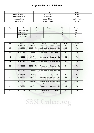### **Boys Under 09 - Division R**

| City                   | Name           | Color       |
|------------------------|----------------|-------------|
| <b>Broadview Hts 1</b> | Jens Strietzel | Purple      |
| <b>Broadview Hts 2</b> | Milan Kubit    | Red         |
| Independence           | Lindsy Clymer  | YellowBlack |
| Parma Hts              | Debbie Straw   | Navy        |

| Rank | City                   | <b>Wins</b> | Losses | <b>Ties</b> | Points |
|------|------------------------|-------------|--------|-------------|--------|
|      | Independence           |             |        |             | 15     |
|      | <b>Broadview Hts 2</b> |             |        |             | 10     |
|      | <b>Broadview Hts 1</b> |             |        |             |        |
|      | Parma Hts              |             |        |             |        |

| GM#            | Date     | Time     | Home                 | Away                 | Score   | Waiver    |
|----------------|----------|----------|----------------------|----------------------|---------|-----------|
| $\overline{2}$ | 05192022 | 7:00 PM  | Parma Hts            | Independence         | $0 - 4$ | <b>No</b> |
| 15             | 05282022 | 12:00 PM | <b>Broadview Hts</b> | <b>Broadview Hts</b> | $0-5$   | <b>No</b> |
|                |          |          |                      | 2                    |         |           |
| 39             | 05242022 | 6:00 PM  | <b>Broadview Hts</b> | Parma Hts            | $5-2$   | <b>No</b> |
|                |          |          | 2                    |                      |         |           |
| 40             | 04232022 | 9:00 AM  | Independence         | <b>Broadview Hts</b> | $4 - 2$ | <b>No</b> |
|                |          |          |                      |                      |         |           |
| 71             | 04262022 | 6:00 PM  | <b>Broadview Hts</b> | Independence         | $4 - 3$ | <b>No</b> |
|                |          |          | 2                    |                      |         |           |
| 95             | 04302022 | 12:00 PM | Parma Hts            | <b>Broadview Hts</b> | $3 - 4$ | <b>No</b> |
|                |          |          |                      |                      |         |           |
| 123            | 05072022 | 9:00 AM  | <b>Broadview Hts</b> | <b>Broadview Hts</b> | $7 - 3$ | <b>No</b> |
|                |          |          | 2                    |                      |         |           |
| 159            | 05102022 | 7:00 PM  | Independence         | Parma Hts            | $6 - 4$ | <b>No</b> |
| 163            | 05122022 | 6:00 PM  | Independence         | <b>Broadview Hts</b> | $5-2$   | <b>No</b> |
|                |          |          |                      | $\overline{2}$       |         |           |
| 169            | 05142022 | 9:00 AM  | <b>Broadview Hts</b> | Independence         | $2 - 5$ | <b>No</b> |
|                |          |          |                      |                      |         |           |
| 204            | 05172022 | 6:00 PM  | Parma Hts            | <b>Broadview Hts</b> | $1 - 5$ | <b>No</b> |
|                |          |          |                      | 2                    |         |           |
| 219            | 05212022 | 10:30 AM | <b>Broadview Hts</b> | Parma Hts            | $6-1$   | No        |
|                |          |          |                      |                      |         |           |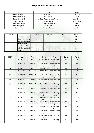### **Boys Under 09 - Division W**

| City                   | Name                      | Color        |
|------------------------|---------------------------|--------------|
| <b>Broadview Hts 1</b> | Scott Becka               | Forrest      |
| <b>Broadview Hts 2</b> | Scott MacRaild            | <b>Blue</b>  |
| <b>Broadview Hts 3</b> | Michael Rizzo Adam Worner | Lime Green   |
| Independence           | David Irimies             | YellowBlack  |
| Middleburg Hts 1       | Amanda R Marsco           | Gray         |
| Middleburg Hts 2       | Steve Leahy               | <b>Black</b> |
| Seven Hills            | George Hlavacs            | Lime Green   |

| Rank | City                   | <b>Wins</b> | Losses | <b>Ties</b> | Points |
|------|------------------------|-------------|--------|-------------|--------|
|      | Independence           |             |        |             | 18     |
|      | <b>Broadview Hts 3</b> |             |        |             | 15     |
|      | Middleburg Hts 1       |             |        |             |        |
|      | <b>Broadview Hts 1</b> |             |        |             |        |
|      | Seven Hills            |             |        |             |        |
|      | Middleburg Hts 2       |             |        |             |        |
|      | <b>Broadview Hts 2</b> |             |        |             |        |

| GM# | Date     | Time     | Home                                   | Away                                    | Score   | Waiver    |
|-----|----------|----------|----------------------------------------|-----------------------------------------|---------|-----------|
| 9   | 05112022 | 7:00 PM  | <b>Broadview Hts</b><br>1              | Middleburg<br>Hts <sub>2</sub>          | $5-3$   | <b>No</b> |
| 16  | 05192022 | 6:00 PM  | Middleburg<br>Hts 1                    | <b>Broadview Hts</b><br>3               | $2 - 5$ | Yes       |
| 31  | 05022022 | 6:00 PM  | Independence                           | <b>Seven Hills</b>                      | $3-0$   | <b>No</b> |
| 45  | 04232022 | 10:30 AM | <b>Seven Hills</b>                     | <b>Broadview Hts</b>                    | $2 - 4$ | <b>No</b> |
| 52  | 04232022 | 12:00 PM | <b>Broadview Hts</b><br>3              | <b>Broadview Hts</b><br>2               | $5 - 4$ | <b>No</b> |
| 79  | 04302022 | 9:00 AM  | 1                                      | <b>Broadview Hts Broadview Hts</b><br>2 | $2 - 2$ | <b>No</b> |
| 85  | 04302022 | 10:30 AM | Seven Hills                            | Middleburg<br>Hts 2                     | $6 - 1$ | <b>No</b> |
| 111 | 05032022 | 6:00 PM  | Independence                           | <b>Broadview Hts</b><br>3               | $3-0$   | <b>No</b> |
| 118 | 05052022 | 6:00 PM  | <b>Broadview Hts</b><br>$\overline{2}$ | Middleburg<br>Hts 1                     | $4 - 5$ | <b>No</b> |
| 124 | 05172022 | 6:00 PM  | Middleburg<br>Hts <sub>2</sub>         | <b>Broadview Hts</b><br>3<br>a.         | $2 - 3$ | Yes       |
| 127 | 05122022 | 6:30 PM  | <b>Seven Hills</b>                     | <b>Broadview Hts</b><br>$\overline{2}$  | $3 - 1$ | <b>No</b> |
| 128 | 05072022 | 1:30 PM  | Independence                           | Middleburg<br>Hts 1                     | $4-0$   | <b>No</b> |
| 153 | 05102022 | 5:30 PM  | Middleburg<br>Hts <sub>2</sub>         | Independence                            | $1 - 3$ | No        |
| 164 | 05122022 | 6:00 PM  | <b>Broadview Hts</b><br>3              | <b>Broadview Hts</b><br>1               | $4 - 2$ | <b>No</b> |
| 165 | 05122022 | 6:00 PM  | Middleburg<br>Hts 2                    | Middleburg<br>Hts 1                     | $0 - 2$ | Yes       |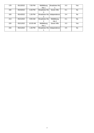| 178 | 05132022 | 7:00 PM  | Middleburg           | <b>Broadview Hts</b> | $3 - 3$ | Yes |
|-----|----------|----------|----------------------|----------------------|---------|-----|
|     |          |          | Hts 1                |                      |         |     |
| 192 | 05232022 | 6:30 PM  | <b>Broadview Hts</b> | Seven Hills          | $6 - 1$ | No. |
|     |          |          | З                    |                      |         |     |
| 193 | 05142022 | 1:30 PM  | Broadview Hts        | Independence         | $3 - 4$ | No. |
|     |          |          | 2                    |                      |         |     |
| 213 | 05212022 | 9:00 AM  | <b>Broadview Hts</b> | Middleburg           | $0 - 1$ | No. |
|     |          |          |                      | Hts 2                |         |     |
| 220 | 05212022 | 10:30 AM | Middleburg           | Seven Hills          | $3 - 3$ | Yes |
|     |          |          | Hts 1                |                      |         |     |
| 234 | 05212022 | 1:30 PM  | <b>Broadview Hts</b> | Independence         | $3-5$   | No. |
|     |          |          |                      |                      |         |     |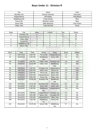### **Boys Under 11 - Division R**

| City                | Name            | Color       |
|---------------------|-----------------|-------------|
| <b>Brooklyn Hts</b> | Donnie Greismer | NavyGold    |
| Independence        | Jeff Walker     | YellowBlack |
| Middleburg Hts      | Craig Schultz   | <b>Blue</b> |
| Parma Hts           | Michael Czyrba  | Navy        |
| Seven Hills         | Mike Mazzone    | Lime Green  |
| <b>Valley View</b>  | Todd Schmidt    | Royal       |

| Rank | City                | <b>Wins</b> | Losses | <b>Ties</b> | Points |  |
|------|---------------------|-------------|--------|-------------|--------|--|
|      | <b>Brooklyn Hts</b> |             |        |             | 15     |  |
|      | Independence        |             |        |             | 15     |  |
|      | <b>Valley View</b>  |             |        |             | 10     |  |
|      | Parma Hts           |             |        |             |        |  |
|      | Middleburg Hts      |             |        |             |        |  |
|      | Seven Hills         |             |        |             |        |  |
|      |                     |             |        |             |        |  |

| GM# | Date     | Time     | Home                     | Away                     | Score   | Waiver         |
|-----|----------|----------|--------------------------|--------------------------|---------|----------------|
| 17  | 05272022 | 6:00 PM  | Parma Hts                | Independence             | $1 - 2$ | No             |
| 32  | 05192022 | 6:30 PM  | Middleburg<br><b>Hts</b> | <b>Seven Hills</b>       | $2 - 2$ | Yes            |
| 38  | 04132022 | 6:00 PM  | <b>Valley View</b>       | <b>Brooklyn Hts</b>      | $1 - 4$ | Yes            |
|     |          |          |                          |                          |         |                |
| 53  | 04232022 | 12:00 PM | <b>Valley View</b>       | Middleburg<br><b>Hts</b> | $2 - 1$ | Yes            |
| 62  | 04232022 | 1:30 PM  | <b>Brooklyn Hts</b>      | Independence             | $7 - 3$ | Yes            |
| 74  | 04272022 | 6:00 PM  | <b>Valley View</b>       | Parma Hts                | $3-3$   | Yes            |
| 75  | 04282022 | 6:00 PM  | Parma Hts                | <b>Seven Hills</b>       | $3 - 2$ | <b>No</b>      |
| 80  | 04302022 | 9:00 AM  | Independence             | <b>Seven Hills</b>       | $4 - 1$ | <b>No</b>      |
| 81  | 04302022 | 9:00 AM  | Parma Hts                | <b>Valley View</b>       | $2 - 5$ | <b>No</b>      |
| 86  | 04302022 | 10:30 AM | <b>Brooklyn Hts</b>      | Middleburg               | $7 - 4$ | Yes            |
|     |          |          |                          | <b>Hts</b>               |         |                |
| 129 | 05072022 | 10:30 AM | <b>Brooklyn Hts</b>      | Parma Hts                | $8 - 3$ | Yes            |
| 157 | 05102022 | 6:30 PM  | <b>Seven Hills</b>       | <b>Valley View</b>       | $1 - 5$ | <b>No</b>      |
| 158 | 05102022 | 6:30 PM  | Middleburg<br><b>Hts</b> | Independence             | $1-6$   | Yes            |
| 160 | 05112022 | 6:00 PM  | Independence             | <b>Brooklyn Hts</b>      | $3 - 2$ | <b>No</b>      |
| 170 | 05142022 | 9:00 AM  | <b>Seven Hills</b>       | <b>Brooklyn Hts</b>      | $1 - 4$ | <b>No</b>      |
| 171 | 05142022 | 9:00 AM  | Independence             | <b>Valley View</b>       | $4 - 1$ | N <sub>o</sub> |
| 198 | 05132022 | 7:00 PM  | Middleburg               | Parma Hts                | $3 - 8$ | Yes            |
|     |          |          | <b>Hts</b>               |                          |         |                |
| 221 | 05212022 | 10:30 AM | <b>Seven Hills</b>       | Middleburg<br><b>Hts</b> | $3 - 7$ | <b>No</b>      |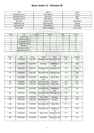### **Boys Under 11 - Division W**

| City                   | Name                 | Color           |
|------------------------|----------------------|-----------------|
| <b>Broadview Hts 1</b> | Scott Becka          | Forest          |
| <b>Broadview Hts 2</b> | Paul Koch            | <b>Blue</b>     |
| <b>Broadview Hts 3</b> | Kelly Rezny          | Lime            |
| Brooklyn               | <b>Daniel Crew</b>   | Royal Blue      |
| Middleburg Hts         | Mike Meyrose         | Orange          |
| Newburgh Hts           | <b>Bill Edelburg</b> | <b>Sky Blue</b> |
| Seven Hills            | Jason Codispoti      | Lime Green      |

| Rank | City                   | <b>Wins</b> | Losses | <b>Ties</b> | Points |
|------|------------------------|-------------|--------|-------------|--------|
|      | Seven Hills            |             |        |             | 18     |
|      | Middleburg Hts         |             |        |             | 12     |
|      | <b>Broadview Hts 3</b> |             |        |             | 10     |
|      | Newburgh Hts           |             |        |             |        |
|      | Brooklyn               |             |        |             |        |
|      | <b>Broadview Hts 2</b> |             |        |             |        |
|      | <b>Broadview Hts 1</b> |             |        |             |        |

| GM# | Date     | Time     | Home                                   | Away                                   | Score    | Waiver    |
|-----|----------|----------|----------------------------------------|----------------------------------------|----------|-----------|
| 18  | 05102022 | 6:00 PM  | <b>Broadview Hts</b><br>3              | <b>Broadview Hts</b>                   | $8 - 8$  | <b>No</b> |
| 19  | 05102022 | 6:00 PM  | <b>Brooklyn</b>                        | Middleburg<br><b>Hts</b>               | $1 - 5$  | <b>No</b> |
| 33  | 05122022 | 6:00 PM  | <b>Broadview Hts</b><br>$\overline{2}$ | Newburgh Hts                           | $3-3$    | <b>No</b> |
| 41  | 04232022 | 9:00 AM  | <b>Broadview Hts</b>                   | <b>Broadview Hts</b><br>$\overline{2}$ | $3 - 4$  | <b>No</b> |
| 54  | 04232022 | 12:00 PM | Middleburg<br><b>Hts</b>               | <b>Seven Hills</b>                     | $1 - 3$  | <b>No</b> |
| 63  | 04232022 | 9:00 AM  | Newburgh Hts                           | Brooklyn                               | $5-2$    | <b>No</b> |
| 82  | 04302022 | 9:00 AM  | <b>Broadview Hts</b><br>$\overline{2}$ | <b>Seven Hills</b>                     | $2 - 6$  | <b>No</b> |
| 87  | 04302022 | 10:30 AM | <b>Broadview Hts</b><br>3              | Middleburg<br><b>Hts</b>               | $1 - 3$  | <b>No</b> |
| 88  | 04302022 | 10:30 AM | <b>Broadview Hts</b>                   | Newburgh Hts                           | $3-8$    | <b>No</b> |
| 113 | 05032022 | 6:30 PM  | <b>Seven Hills</b>                     | <b>Brooklyn</b>                        | $8 - 1$  | Yes       |
| 125 | 05072022 | 9:00 AM  | <b>Broadview Hts</b><br>3              | <b>Brooklyn</b>                        | $11 - 0$ | Yes       |
| 138 | 05072022 | 12:00 PM | <b>Broadview Hts</b>                   | <b>Seven Hills</b>                     | $2 - 7$  | <b>No</b> |
| 148 | 05182022 | 6:30 PM  | Newburgh Hts                           | Middleburg<br><b>Hts</b>               | $1 - 4$  | Yes       |
| 179 | 05142022 | 10:30 AM | Seven Hills                            | <b>Broadview Hts</b><br>3              | $3 - 1$  | No        |
| 187 | 05142022 | 12:00 PM | Brooklyn                               | <b>Broadview Hts</b><br>2              | $2 - 1$  | No        |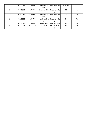| 188 | 05232022 | 7:00 PM  | Middleburg      | Broadview Hts                 | Not Played |           |
|-----|----------|----------|-----------------|-------------------------------|------------|-----------|
|     |          |          | Hts             |                               |            |           |
| 203 | 05162022 | 6:00 PM  |                 | Newburgh Hts   Broadview Hts  | $3-9$      | Yes       |
|     |          |          |                 |                               |            |           |
| 210 | 05192022 | 6:30 PM  | Middleburg      | <b>Broadview Hts</b>          | $7 - 0$    | Yes       |
|     |          |          | Hts             |                               |            |           |
| 214 | 05212022 | 9:00 AM  |                 | Broadview Hts   Broadview Hts | $3 - 4$    | No.       |
|     |          |          | 2               |                               |            |           |
| 215 | 05212022 | 9:00 AM  | Seven Hills     | Newburgh Hts                  | $4 - 0$    | No.       |
| 222 | 05212022 | 10:30 AM | <b>Brooklyn</b> | <b>Broadview Hts</b>          | $3-0$      | <b>No</b> |
|     |          |          |                 |                               |            |           |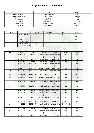### **Boys Under 13 - Division R**

| City                   | Name                 | Color           |
|------------------------|----------------------|-----------------|
| <b>Broadview Hts 1</b> | Hannah Morgan        | Green           |
| <b>Broadview Hts 2</b> | Jim Curtain          | Orange          |
| Macedonia              | <b>Matt Whitten</b>  | Gray            |
| Newburgh Hts           | <b>Brandon Love</b>  | <b>Sky Blue</b> |
| Seven Hills            | Ryan Schillero       | Lime Green      |
| <b>Valley View</b>     | <b>Scott Barrett</b> | Royal           |

| Rank | City                   | <b>Wins</b> | Losses | <b>Ties</b> | Points |  |
|------|------------------------|-------------|--------|-------------|--------|--|
|      | Newburgh Hts           |             |        |             |        |  |
|      | <b>Broadview Hts 1</b> |             |        |             | 12     |  |
|      | <b>Valley View</b>     |             |        |             | 12     |  |
|      | Seven Hills            |             |        |             |        |  |
|      | Macedonia              |             |        |             |        |  |
|      | <b>Broadview Hts 2</b> |             |        |             |        |  |
|      |                        |             |        |             |        |  |

| GM#             | Date     | Time     | Home                                   | Away                                   | Score         | Waiver    |
|-----------------|----------|----------|----------------------------------------|----------------------------------------|---------------|-----------|
| 3               | 05092022 | 6:00 PM  | <b>Broadview Hts</b><br>1              | <b>Broadview Hts</b><br>2              | $10-5$        | <b>No</b> |
| 10              | 05112022 | 6:30 PM  | <b>Seven Hills</b>                     | <b>Valley View</b>                     | $4 - 5$       | <b>No</b> |
| 20              | 04282022 | 6:00 PM  | Macedonia                              | Newburgh Hts                           | $4-6$         | Yes       |
| 55              | 04232022 | 12:00 PM | <b>Seven Hills</b>                     | <b>Broadview Hts</b>                   | $6 - 1$       | Yes       |
| 56              | 04232022 | 12:00 PM | Newburgh Hts                           | <b>Valley View</b>                     | $8 - 3$       | <b>No</b> |
| $\overline{57}$ | 04232022 | 12:00 PM | Macedonia                              | <b>Broadview Hts</b>                   | $2 - 3$       | Yes       |
| 96              | 04302022 | 12:00 PM | <b>Seven Hills</b>                     | Macedonia                              | $2 - 2$       | <b>No</b> |
| 97              | 04302022 | 12:00 PM | Newburgh Hts                           | <b>Broadview Hts</b><br>$\overline{1}$ | $6 - 3$       | Yes       |
| 102             | 04302022 | 1:30 PM  | <b>Valley View</b>                     | <b>Broadview Hts</b><br>$\mathcal{P}$  | $7 - 3$       | Yes       |
| 130             | 05072022 | 10:30 AM | <b>Broadview Hts</b><br>1              | <b>Valley View</b>                     | $5-9$         | <b>No</b> |
| 139             | 05192022 | 6:30 PM  | Newburgh Hts                           | <b>Seven Hills</b>                     | $8 - 2$       | Yes       |
| 149             | 05072022 | 1:30 PM  | <b>Broadview Hts</b><br>$\overline{2}$ | Macedonia                              | $0 - 0$       | <b>No</b> |
| 180             | 05132022 | 5:30 PM  | <b>Broadview Hts</b><br>1              | <b>Seven Hills</b>                     | $5 - 1$       | <b>No</b> |
| 181             | 05142022 | 10:30 AM | <b>Valley View</b>                     | Macedonia                              | $9 - 4$       | <b>No</b> |
| 189             | 05142022 | 12:00 PM | <b>Broadview Hts</b><br>2              | Newburgh Hts                           | 0-4 - Forfeit |           |
| 216             | 05212022 | 9:00 AM  | Valley View                            | Newburgh Hts                           | $3 - 8$       | Yes       |
| 223             | 05212022 | 10:30 AM | <b>Broadview Hts</b><br>2              | <b>Broadview Hts</b>                   | $0 - 8$       | Yes       |
| 235             | 05212022 | 1:30 PM  | Macedonia                              | Seven Hills                            | $2 - 3$       | Yes       |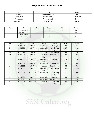### **Boys Under 13 - Division W**

| City            | Name            | Color        |
|-----------------|-----------------|--------------|
| <b>Brooklyn</b> | Melissa Rodrigo | Gold         |
| Brooklyn Hts    | Mandi Apathy    | NavvGold     |
| Macedonia       | Terrence Lowis  | Green        |
| Middleburg Hts  | Steve Armrich   | <b>Black</b> |

| Rank | City                | <b>Wins</b> | Losses | <b>Ties</b> | Points |
|------|---------------------|-------------|--------|-------------|--------|
|      | <b>Brooklyn Hts</b> |             |        |             | 18     |
|      | Middleburg Hts      |             |        |             | 10     |
|      | Macedonia           |             |        |             |        |
|      | <b>Brooklyn</b>     |             |        |             |        |

| GM# | Date     | Time     | Home                     | Away                     | Score   | Waiver     |
|-----|----------|----------|--------------------------|--------------------------|---------|------------|
| 23  | 04092022 | 1:30 PM  | <b>Brooklyn Hts</b>      | <b>Brooklyn</b>          | $7 - 0$ | <b>Yes</b> |
| 24  | 05052022 | 6:30 PM  | Macedonia                | Middleburg<br><b>Hts</b> | $3 - 7$ | Yes        |
| 42  | 04232022 | 9:00 AM  | <b>Brooklyn</b>          | Macedonia                | $5-4$   | <b>No</b>  |
| 64  | 04232022 | 1:30 PM  | Middleburg<br><b>Hts</b> | <b>Brooklyn Hts</b>      | $4 - 5$ | <b>No</b>  |
| 103 | 04302022 | 1:30 PM  | Middleburg<br><b>Hts</b> | <b>Brooklyn</b>          | $7 - 2$ | <b>No</b>  |
| 107 | 04302022 | 3:00 PM  | <b>Brooklyn Hts</b>      | Macedonia                | $9 - 4$ | Yes        |
| 131 | 05112022 | 6:30 PM  | <b>Brooklyn</b>          | <b>Brooklyn Hts</b>      | $0 - 5$ | <b>No</b>  |
| 150 | 05172022 | 7:00 PM  | Middleburg<br><b>Hts</b> | Macedonia                | $5-5$   | Yes        |
| 182 | 05142022 | 10:30 AM | <b>Brooklyn Hts</b>      | Middleburg<br><b>Hts</b> | $6 - 2$ | Yes        |
| 194 | 05142022 | 1:30 PM  | Macedonia                | <b>Brooklyn</b>          | $4 - 2$ | Yes        |
| 227 | 05212022 | 12:00 PM | Macedonia                | <b>Brooklyn Hts</b>      | $1 - 2$ | Yes        |
| 228 | 05212022 | 12:00 PM | <b>Brooklyn</b>          | Middleburg<br><b>Hts</b> | $4 - 6$ | No.        |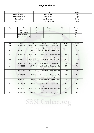### **Boys Under 15**

| City                   | Name            | Color  |
|------------------------|-----------------|--------|
| <b>Broadview Hts 1</b> | Pete Jones      | Green  |
| Broadview Hts 2        | Mike Dunlap     | Purple |
| Parma Hts              | Matt Bockmore   | Navv   |
| <b>Valley View</b>     | Ronnie Grissman | Red    |

| Rank | City                   | Wins | Losses | <b>Ties</b> | Points |
|------|------------------------|------|--------|-------------|--------|
|      | <b>Valley View</b>     |      |        |             | 16     |
|      | Parma Hts              |      |        |             |        |
|      | <b>Broadview Hts 1</b> |      |        |             |        |
|      | <b>Broadview Hts 2</b> |      |        |             |        |

| GM# | Date     | Time     | Home                                   | Away                          | Score    | Waiver    |
|-----|----------|----------|----------------------------------------|-------------------------------|----------|-----------|
| 11  | 05282022 | 10:30 AM | <b>Broadview Hts</b><br>$\overline{2}$ | Parma Hts                     | $0 - 5$  | No        |
| 25  | 05192022 | 6:30 PM  | <b>Broadview Hts</b>                   | <b>Valley View</b>            | $5 - 11$ | Yes       |
| 46  | 04232022 | 10:30 AM | Parma Hts                              | <b>Broadview Hts</b>          | $7-5$    | <b>No</b> |
| 47  | 04232022 | 10:30 AM | <b>Valley View</b>                     | <b>Broadview Hts</b><br>2     | $9 - 1$  | Yes       |
| 89  | 04302022 | 10:30 AM | <b>Valley View</b>                     | Parma Hts                     | $6-5$    | Yes       |
| 104 | 04302022 | 1:30 PM  | <b>Broadview Hts</b><br>2              | <b>Broadview Hts</b><br>$1 -$ | $3 - 7$  | <b>No</b> |
| 132 | 05072022 | 10:30 AM | <b>Valley View</b>                     | <b>Broadview Hts</b>          | $13 - 5$ | Yes       |
| 140 | 05272022 | 6:00 PM  | Parma Hts                              | <b>Broadview Hts</b><br>2     | $5-1$    | <b>No</b> |
| 199 | 05142022 | 3:00 PM  | <b>Broadview Hts</b><br>2              | <b>Valley View</b>            | $1 - 9$  | Yes       |
| 200 | 05142022 | 3:00 PM  | <b>Broadview Hts</b>                   | Parma Hts                     | $3 - 7$  | <b>No</b> |
| 229 | 05212022 | 12:00 PM | <b>Broadview Hts</b>                   | <b>Broadview Hts</b><br>2     | $8 - 3$  | No        |
| 236 | 05212022 | 1:30 PM  | Parma Hts                              | <b>Valley View</b>            | $2 - 2$  | No        |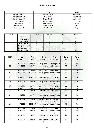| City           | Name                   | Color           |
|----------------|------------------------|-----------------|
| Independence 1 | <b>Matt McAllister</b> | YellowBlack     |
| Independence 2 | Alex Intihar           | YellowBlack     |
| Independence 3 | Dwyer Conklyn          | YellowBlack     |
| Newburgh Hts   | Wesley Haymon          | <b>Sky Blue</b> |
| Parma Hts      | Alex Samochin          | Navv            |
| Valley View 1  | <b>Bryan Petsche</b>   | Royal           |
| Valley View 2  | Joel Voytek            | Royal           |

| Rank | City           | <b>Wins</b> | Losses | <b>Ties</b> | Points |
|------|----------------|-------------|--------|-------------|--------|
|      | Valley View 1  |             |        |             |        |
|      | Valley View 2  |             |        |             |        |
|      | Parma Hts      |             |        |             |        |
|      | Newburgh Hts   |             |        |             |        |
|      | Independence 2 |             |        |             |        |
|      | Independence 3 |             |        |             |        |
|      | Independence 1 |             |        |             |        |

| GM#                     | Date     | Time     | Home              | Away               | Score   | Waiver    |
|-------------------------|----------|----------|-------------------|--------------------|---------|-----------|
| $\overline{\mathbf{4}}$ | 04302022 | 9:00 AM  | Independence      | Independence<br>3  | $0-0$   | <b>No</b> |
| $\overline{5}$          | 04142022 | 6:00 PM  | Valley View 1     | Newburgh Hts       | $0-0$   | <b>No</b> |
| 35                      | 04092022 | 4:30 PM  | Independence<br>2 | Valley View 2      | $0 - 0$ | <b>No</b> |
| 43                      | 04232022 | 9:00 AM  | Valley View 2     | Valley View 1      | $0 - 0$ | <b>No</b> |
| 48                      | 04232022 | 10:30 AM | Newburgh Hts      | Independence       | $0-0$   | <b>No</b> |
| 58                      | 04232022 | 12:00 PM | Independence<br>3 | <b>Parma Hts</b>   | $0-0$   | <b>No</b> |
| 76                      | 04282022 | 6:00 PM  | Valley View 1     | Independence<br>2  | $0-0$   | <b>No</b> |
| 83                      | 04302022 | 9:00 AM  | Valley View 1     | Parma Hts          | $0 - 0$ | <b>No</b> |
| 108                     | 04302022 | 3:00 PM  | Valley View 2     | Newburgh Hts       | $0-0$   | <b>No</b> |
| 114                     | 05042022 | 6:00 PM  | Independence<br>3 | Valley View 1      | $0-0$   | No        |
| 119                     | 05052022 | 6:00 PM  | Independence<br>2 | Independence<br>3  | $0-0$   | <b>No</b> |
| 133                     | 05102022 | 6:30 PM  | Newburgh Hts      | Independence<br>3. | $0-0$   | <b>No</b> |
| 141                     | 05072022 | 12:00 PM | Independence<br>2 | Independence       | $0-0$   | <b>No</b> |
| 151                     | 05072022 | 1:30 PM  | Valley View 2     | Parma Hts          | $0 - 0$ | <b>No</b> |
| 155                     | 05102022 | 6:00 PM  | Parma Hts         | Independence       | $0-0$   | No        |
| 161                     | 05112022 | 6:00 PM  | Independence<br>1 | Valley View 2      | $0-0$   | No        |
| 172                     | 05142022 | 9:00 AM  | Independence<br>3 | Valley View 2      | $0-0$   | <b>No</b> |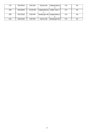| 173 | 05142022 | 9:00 AM  | Parma Hts    | Independence                | $0-0$   | No. |
|-----|----------|----------|--------------|-----------------------------|---------|-----|
|     |          |          |              |                             |         |     |
| 183 | 05142022 | 10:30 AM | Independence | Valley View 1               | $O-O$   | No. |
|     |          |          |              |                             |         |     |
| 205 | 05172022 | 6:00 PM  |              | Newburgh Hts   Independence | $0 - 0$ | No. |
|     |          |          |              |                             |         |     |
| 224 | 05212022 | 3:00 PM  | Parma Hts    | Newburgh Hts                | $0-0$   | No. |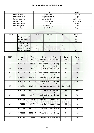#### **Girls Under 09 - Division R**

| City                   | Name                 | Color       |
|------------------------|----------------------|-------------|
| <b>Broadview Hts 1</b> | Adam Jutte           | Orange      |
| <b>Broadview Hts 2</b> | Stephen Kordella     | Purple      |
| Independence 1         | Lucija Radujkovic    | YellowBlack |
| Independence 2         | Kate Zelasko         | YellowBlack |
| Middleburg Hts 1       | <b>Terry Day</b>     | Purple      |
| Middleburg Hts 2       | <b>Trevor Koenig</b> | Gold        |
| <b>Valley View</b>     | <b>Skip Wilson</b>   | Royal       |

| Rank | City                   | <b>Wins</b> | Losses | Ties | Points |
|------|------------------------|-------------|--------|------|--------|
|      | Independence 2         |             |        |      | 13     |
|      | Independence 1         |             |        |      |        |
|      | <b>Broadview Hts 1</b> |             |        |      | 10     |
|      | <b>Valley View</b>     |             |        |      |        |
|      | Middleburg Hts 2       |             |        |      |        |
|      | <b>Broadview Hts 2</b> |             |        |      |        |
|      | Middleburg Hts 1       |             |        |      |        |

| GM# | Date     | Time     | Home                                   | Away                                   | Score         | Waiver    |
|-----|----------|----------|----------------------------------------|----------------------------------------|---------------|-----------|
| 12  | 05122022 | 7:00 PM  | Middleburg<br>Hts 1                    | Independence<br>$\overline{2}$         | $3 - 4$       | Yes       |
| 26  | 05022022 | 7:00 PM  | Independence                           | Middleburg<br>Hts <sub>2</sub>         | $3 - 2$       | <b>No</b> |
| 27  | 04262022 | 6:00 PM  | <b>Valley View</b>                     | <b>Broadview Hts</b>                   | $3-3$         | Yes       |
| 49  | 04232022 | 10:30 AM | Independence<br>$\overline{2}$         | <b>Broadview Hts</b><br>2              | $3 - 2$       | <b>No</b> |
| 50  | 04232022 | 10:30 AM | Middleburg<br>Hts <sub>2</sub>         | Middleburg<br>Hts 1                    | $1 - 1$       | <b>No</b> |
| 90  | 04302022 | 10:30 AM | <b>Broadview Hts</b>                   | Middleburg<br>Hts <sub>2</sub>         | $1 - 3$       | <b>No</b> |
| 98  | 04302022 | 12:00 PM | Independence                           | <b>Broadview Hts</b><br>2              | 4-0 - Forfeit |           |
| 99  | 04302022 | 12:00 PM | <b>Valley View</b>                     | Independence<br>$\overline{2}$         | $2 - 4$       | Yes       |
| 115 | 05042022 | 6:00 PM  | <b>Broadview Hts</b><br>$\overline{2}$ | Middleburg<br>Hts 1                    | $3 - 1$       | <b>No</b> |
| 120 | 05052022 | 6:30 PM  | Middleburg<br>Hts 2                    | <b>Valley View</b>                     | $4 - 7$       | <b>No</b> |
| 134 | 05172022 | 7:00 PM  | Middleburg<br>Hts <sub>2</sub>         | Independence<br>2                      | $3 - 3$       | Yes       |
| 142 | 05072022 | 12:00 PM | <b>Broadview Hts</b>                   | <b>Broadview Hts</b><br>$\overline{2}$ | $5-2$         | No        |
| 143 | 05072022 | 12:00 PM | <b>Valley View</b>                     | Middleburg<br>Hts 1                    | $5-4$         | Yes       |
| 156 | 05102022 | 6:00 PM  | Independence<br>2                      | Independence                           | $2 - 1$       | No        |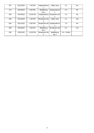| 167 | 05122022 | 7:00 PM  | Independence         | <b>Valley View</b>   | $2 - 1$       | No        |
|-----|----------|----------|----------------------|----------------------|---------------|-----------|
|     |          |          |                      |                      |               |           |
| 174 | 05132022 | 6:00 PM  | Middleburg           | Independence         | $2 - 4$       | No        |
|     |          |          | Hts 1                |                      |               |           |
| 190 | 05142022 | 12:00 PM | Independence         | <b>Broadview Hts</b> | $1 - 6$       | No.       |
|     |          |          |                      |                      |               |           |
| 195 | 05142022 | 1:30 PM  | <b>Broadview Hts</b> | <b>Valley View</b>   | $2 - 1$       | Yes       |
|     |          |          |                      |                      |               |           |
| 206 | 05172022 | 6:00 PM  | Broadview Hts        | Independence         | $1 - 0$       | <b>No</b> |
|     |          |          |                      |                      |               |           |
| 208 | 05192022 | 5:30 PM  | Middleburg           | <b>Broadview Hts</b> | $5 - 1$       | Yes       |
|     |          |          | Hts 1                |                      |               |           |
| 230 | 05212022 | 12:00 PM | <b>Broadview Hts</b> | Middleburg           | 0-4 - Forfeit |           |
|     |          |          |                      | Hts 2                |               |           |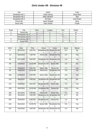#### **Girls Under 09 - Division W**

| Citv                   | Name           | Color      |
|------------------------|----------------|------------|
| <b>Broadview Hts 1</b> | Katie Garvas   | Royal Blue |
| <b>Broadview Hts 2</b> | Aleks NikolicA | Red        |
| <b>Broadview Hts 3</b> | Ed Rose        | Lime Green |
| Parma Hts              | Jason Worgull  | Navv       |
| Seven Hills            | Rach Sheha     | Purple     |

| Rank | City                   | <b>Wins</b> | Losses | <b>Ties</b> | Points |
|------|------------------------|-------------|--------|-------------|--------|
|      | Parma Hts              |             |        |             | 16     |
|      | <b>Broadview Hts 3</b> |             |        |             |        |
|      | <b>Broadview Hts 2</b> |             |        |             |        |
|      | <b>Broadview Hts 1</b> |             |        |             |        |
|      | Seven Hills            |             |        |             |        |

| GM# | Date     | Time     | Home                                   | Away                                            | Score    | Waiver    |
|-----|----------|----------|----------------------------------------|-------------------------------------------------|----------|-----------|
| 6   | 05112022 | 6:00 PM  | $\mathbf{1}$                           | Broadview Hts Broadview Hts<br>3                | $3 - 4$  | <b>No</b> |
| 13  | 05102022 | 7:00 PM  | Parma Hts                              | <b>Broadview Hts</b><br>$\overline{2}$          | $2 - 0$  | Yes       |
| 65  | 05172022 | 6:00 PM  | <b>Broadview Hts</b><br>$\overline{2}$ | <b>Broadview Hts</b>                            | $2 - 6$  | <b>No</b> |
| 69  | 04232022 | 12:00 PM | <b>Broadview Hts</b><br>3              | Seven Hills                                     | $4 - 3$  | <b>No</b> |
| 77  | 04292022 | 6:30 PM  | <b>Seven Hills</b>                     | Parma Hts                                       | $1 - 7$  | Yes       |
| 91  | 04302022 | 10:30 AM | Parma Hts                              | <b>Broadview Hts</b>                            | $3-3$    | <b>No</b> |
| 109 | 04302022 | 3:00 PM  | Seven Hills                            | <b>Broadview Hts</b><br>$\overline{2}$          | $0 - 8$  | Yes       |
| 112 | 05032022 | 6:00 PM  | 2                                      | Broadview Hts Broadview Hts<br>3                | $4-0$    | <b>No</b> |
| 121 | 05062022 | 6:00 PM  | <b>Broadview Hts</b>                   | Seven Hills                                     | $7-0$    | Yes       |
| 135 | 05072022 | 10:30 AM | <b>Broadview Hts</b><br>3              | Parma Hts                                       | $2 - 10$ | Yes       |
| 166 | 05122022 | 6:00 PM  | Parma Hts                              | Seven Hills                                     | $9-0$    | Yes       |
| 201 | 05142022 | 3:00 PM  | 3                                      | Broadview Hts   Broadview Hts                   | $0-7$ *  | No        |
| 202 | 05242022 | 6:30 PM  | <b>Broadview Hts</b><br>2              | Parma Hts                                       | $1 - 3$  | No        |
| 231 | 05212022 | 12:00 PM | Seven Hills                            | <b>Broadview Hts</b><br>3                       | $0 - 5$  | Yes       |
| 237 | 05212022 | 3:00 PM  | 1                                      | Broadview Hts   Broadview Hts<br>$\overline{2}$ | $2 - 3$  | No        |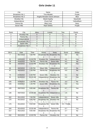| City                   | Name                          | Color       |
|------------------------|-------------------------------|-------------|
| <b>Broadview Hts 1</b> | Tina Mihalek                  | Purple      |
| <b>Broadview Hts 2</b> | Angela Monateri David Johnson | <b>Blue</b> |
| <b>Brooklyn Hts</b>    | Mandi Apathy                  | NavyGold    |
| Independence           | <b>Chuck Noll</b>             | YellowBlack |
| Parma Hts              | Mary Levy                     | Navv        |
| Seven Hills            | Rach Sheha                    | Purple      |

| Rank | City                   | <b>Wins</b> | Losses | <b>Ties</b> | Points |  |
|------|------------------------|-------------|--------|-------------|--------|--|
|      | <b>Brooklyn Hts</b>    |             |        |             | 16     |  |
|      | Parma Hts              |             |        |             | 13     |  |
|      | Independence           |             |        |             |        |  |
|      | <b>Broadview Hts 1</b> |             |        |             |        |  |
|      | Seven Hills            |             |        |             |        |  |
|      | <b>Broadview Hts 2</b> |             |        |             |        |  |
|      |                        |             |        |             |        |  |

| GM# | Date     | Time     | Home                                   | Away                                   | Score         | Waiver    |
|-----|----------|----------|----------------------------------------|----------------------------------------|---------------|-----------|
| 7   | 05172022 | 7:00 PM  | <b>Broadview Hts</b>                   | <b>Broadview Hts</b><br>2              | $5-0$         | <b>No</b> |
| 21  | 04092022 | 12:00 PM | <b>Brooklyn Hts</b>                    | Independence                           | $3 - 1$       | Yes       |
| 28  | 05052022 | 7:00 PM  | Parma Hts                              | <b>Seven Hills</b>                     | $4 - 1$       | <b>No</b> |
| 59  | 04232022 | 12:00 PM | <b>Brooklyn Hts</b>                    | <b>Broadview Hts</b><br>2              | $4-0$         | Yes       |
| 66  | 04232022 | 1:30 PM  | <b>Seven Hills</b>                     | Independence                           | $0-9*$        | <b>No</b> |
| 67  | 04232022 | 1:30 PM  | Parma Hts                              | <b>Broadview Hts</b>                   | $5-0$         | <b>No</b> |
| 73  | 04262022 | 6:30 PM  | <b>Seven Hills</b>                     | <b>Brooklyn Hts</b>                    | $0 - 1$       | <b>No</b> |
| 92  | 04302022 | 10:30 AM | Independence                           | <b>Broadview Hts</b><br>$\overline{2}$ | $5-0$         | Yes       |
| 105 | 04302022 | 1:30 PM  | <b>Brooklyn Hts</b>                    | Parma Hts                              | $3 - 2$       | <b>No</b> |
| 106 | 04302022 | 1:30 PM  | <b>Seven Hills</b>                     | <b>Broadview Hts</b>                   | $5-0$         | Yes       |
| 126 | 05072022 | 9:00 AM  | <b>Broadview Hts</b><br>$\overline{2}$ | Parma Hts                              | $0 - 7$       | Yes       |
| 136 | 05072022 | 10:30 AM | <b>Broadview Hts</b><br>1              | Independence                           | $1-6$         | <b>No</b> |
| 162 | 05112022 | 7:00 PM  | Independence                           | <b>Seven Hills</b>                     | $2 - 1$       | <b>No</b> |
| 175 | 05132022 | 6:00 PM  | <b>Broadview Hts</b><br>1              | <b>Brooklyn Hts</b>                    | $0 - 5$       | No.       |
| 176 | 05142022 | 9:00 AM  | <b>Broadview Hts</b><br>$\overline{2}$ | <b>Seven Hills</b>                     | 0-4 - Forfeit |           |
| 184 | 05142022 | 10:30 AM | Independence                           | Parma Hts                              | $0 - 7$       | Yes       |
| 217 | 05212022 | 9:00 AM  | <b>Broadview Hts</b><br>$\overline{2}$ | <b>Broadview Hts</b>                   | $2 - 7$       | No        |
| 232 | 05212022 | 12:00 PM | Parma Hts                              | <b>Brooklyn Hts</b>                    | $1 - 1$       | <b>No</b> |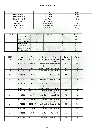| City                   | Name                 | Color           |
|------------------------|----------------------|-----------------|
| <b>Broadview Hts 1</b> | Craig Tobias         | Purple          |
| <b>Broadview Hts 2</b> | Ivan Matic           | Red             |
| <b>Broadview Hts 3</b> | Kelly Rezny          | Lime            |
| Macedonia              | Tina Pudelski        | Green           |
| Middleburg Hts         | Craig Schultz        | Green           |
| Newburgh Hts           | Mikki Somodji        | <b>Sky Blue</b> |
| Parma Hts              | <b>Matt McGinnis</b> | Navy            |

| Rank | City                   | <b>Wins</b> | Losses | Ties | Points |
|------|------------------------|-------------|--------|------|--------|
|      | Parma Hts              |             |        |      | 18     |
|      | <b>Broadview Hts 2</b> |             |        |      |        |
|      | Newburgh Hts           |             |        |      |        |
|      | <b>Broadview Hts 3</b> |             |        |      |        |
|      | Middleburg Hts         |             |        |      |        |
|      | <b>Broadview Hts 1</b> |             |        |      |        |
|      | Macedonia              |             |        |      |        |

| GM# | Date     | Time     | Home                                   | Away                                   | Score         | Waiver    |
|-----|----------|----------|----------------------------------------|----------------------------------------|---------------|-----------|
| 14  | 05282022 | 10:30 AM | <b>Broadview Hts</b><br>$\overline{2}$ | Middleburg<br><b>Hts</b>               | 4-0 - Forfeit |           |
| 29  | 05122022 | 7:00 PM  | Broadview Hts                          | <b>Broadview Hts</b><br>3              | $4 - 7$       | <b>No</b> |
| 34  | 04272022 | 6:00 PM  | Newburgh Hts                           | Macedonia                              | $9 - 4$       | <b>No</b> |
| 51  | 04232022 | 10:30 AM | <b>Broadview Hts</b><br>3              | Parma Hts                              | $3 - 18$      | Yes       |
| 68  | 04232022 | 1:30 PM  | Macedonia                              | <b>Broadview Hts</b><br>$\mathbf{1}$   | $2 - 8$       | Yes       |
| 70  | 04232022 | 3:00 PM  | Middleburg<br><b>Hts</b>               | Newburgh Hts                           | $1 - 10*$     | <b>No</b> |
| 72  | 04262022 | 6:00 PM  | <b>Broadview Hts</b><br>3              | Newburgh Hts                           | $4 - 10$      | Yes       |
| 93  | 04302022 | 10:30 AM | Newburgh Hts                           | Parma Hts                              | $2 - 9$       | Yes       |
| 100 | 04302022 | 12:00 PM | <b>Broadview Hts</b><br>$\overline{2}$ | <b>Broadview Hts</b><br>3              | $8 - 4$       | <b>No</b> |
| 110 | 04302022 | 3:00 PM  | Middleburg<br><b>Hts</b>               | Macedonia                              | $7-0$         | Yes       |
| 116 | 05042022 | 6:00 PM  | Macedonia                              | <b>Broadview Hts</b><br>$\overline{2}$ | $1 - 8$       | Yes       |
| 144 | 05072022 | 12:00 PM | <b>Broadview Hts</b><br>2              | <b>Broadview Hts</b>                   | $6 - 3$       | <b>No</b> |
| 145 | 05252022 | 6:30 PM  | Macedonia                              | <b>Broadview Hts</b><br>3              | $2 - 12$      | Yes       |
| 152 | 05182022 | 6:00 PM  | Middleburg<br><b>Hts</b>               | Parma Hts                              | $1 - 10$      | Yes       |
| 185 | 05142022 | 10:30 AM | <b>Broadview Hts</b><br>1              | Newburgh Hts                           | $2 - 6$       | No        |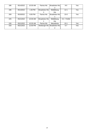| 186 | 05142022 | 10:30 AM | Parma Hts            | <b>Broadview Hts</b> | $9-0$         | Yes |
|-----|----------|----------|----------------------|----------------------|---------------|-----|
|     |          |          |                      |                      |               |     |
| 196 | 05142022 | 1:30 PM  | <b>Broadview Hts</b> | Middleburg           | $12 - 1$      | Yes |
|     |          |          |                      | <b>Hts</b>           |               |     |
| 209 | 05192022 | 6:00 PM  | Parma Hts            | <b>Broadview Hts</b> | $15-0$        | Yes |
|     |          |          |                      |                      |               |     |
| 225 | 05212022 | 10:30 AM | <b>Broadview Hts</b> | Middleburg           | 0-4 - Forfeit |     |
|     |          |          |                      | <b>Hts</b>           |               |     |
| 226 | 05212022 | 10:30 AM | Parma Hts            | Macedonia            | $10-1$        | Yes |
| 233 | 05212022 | 12:00 PM | Newburgh Hts         | <b>Broadview Hts</b> | $5 - 7$       | Yes |
|     |          |          |                      |                      |               |     |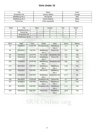| City                 | Name             | Color        |
|----------------------|------------------|--------------|
| <b>Broadview Hts</b> | Jeremy Mathis    | Orange       |
| Middleburg Hts 1     | Jill Kupchik     | Red          |
| Middleburg Hts 2     | David Dadante    | <b>Black</b> |
| Parma Hts            | Chris Vassanelli | Navy         |

| Rank | City                 | <b>Wins</b> | Losses | <b>Ties</b> | Points |
|------|----------------------|-------------|--------|-------------|--------|
|      | Middleburg Hts 1     |             |        |             | 18     |
|      | Parma Hts            |             |        |             | م 1    |
|      | <b>Broadview Hts</b> |             |        |             |        |
|      | Middleburg Hts 2     |             |        |             |        |

| GM# | Date     | Time     | Home                           | Away                           | Score      | Waiver    |
|-----|----------|----------|--------------------------------|--------------------------------|------------|-----------|
| 22  | 05282022 | 12:00 PM | <b>Broadview Hts</b>           | Middleburg<br>Hts <sub>2</sub> | $1 - 1$    | <b>No</b> |
| 30  | 05192022 | 7:00 PM  | Middleburg<br>Hts 1            | Parma Hts                      | $4 - 2$    | Yes       |
| 60  | 04232022 | 12:00 PM | Parma Hts                      | <b>Broadview Hts</b>           | $8 - 4$    | <b>No</b> |
| 94  | 04302022 | 10:30 AM | Middleburg<br>Hts <sub>2</sub> | Parma Hts                      | $2 - 9$    | Yes       |
| 101 | 04302022 | 12:00 PM | Middleburg<br>Hts 1            | <b>Broadview Hts</b>           | $8-0$      | Yes       |
| 117 | 05172022 | 6:00 PM  | Middleburg<br>Hts <sub>2</sub> | Middleburg<br>Hts 1            | $1 - 16$   | Yes       |
| 137 | 05232022 | 6:00 PM  | Parma Hts                      | Middleburg<br>Hts 1            | $2 - 3$    | <b>No</b> |
| 146 | 05232022 | 6:00 PM  | Middleburg<br>Hts 2            | <b>Broadview Hts</b>           | $1 - 5$ ** | <b>No</b> |
| 191 | 05142022 | 12:00 PM | <b>Broadview Hts</b>           | Parma Hts                      | $4 - 7$    | <b>No</b> |
| 197 | 05162022 | 6:00 PM  | Middleburg<br>Hts 1            | Middleburg<br>Hts <sub>2</sub> | $7 - 1$    | Yes       |
| 207 | 05182022 | 6:00 PM  | <b>Broadview Hts</b>           | Middleburg<br>Hts 1            | $1 - 11$   | Yes       |
| 218 | 05212022 | 9:00 AM  | Parma Hts                      | Middleburg<br>Hts <sub>2</sub> | $12 - 3$   | Yes       |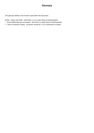#### **Glossary**

This glossary defines a list of terms used within this document.

Forfeit - Game was forfeit. See Rules 4 a & b under Rules of Administration.

\* - Score Differential was not waived. See Rule 5 e under Rules of Administration.

\*\* - Score Correction Posted. Correction issued by C & D Commission or Board.